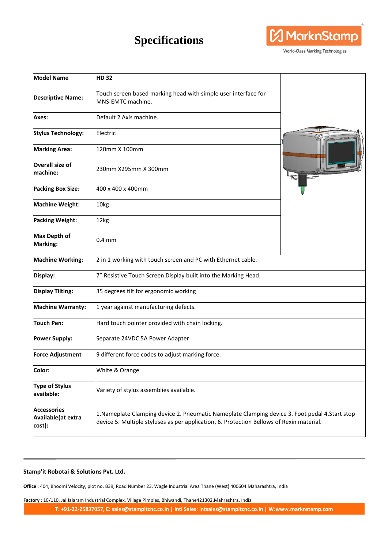## **Specifications**



World-Class Marking Technologies

| <b>Model Name</b>                                  | <b>HD32</b>                                                                                                                                                                                 |  |
|----------------------------------------------------|---------------------------------------------------------------------------------------------------------------------------------------------------------------------------------------------|--|
| <b>Descriptive Name:</b>                           | Touch screen based marking head with simple user interface for<br>MNS-EMTC machine.                                                                                                         |  |
| Axes:                                              | Default 2 Axis machine.                                                                                                                                                                     |  |
| <b>Stylus Technology:</b>                          | Electric                                                                                                                                                                                    |  |
| <b>Marking Area:</b>                               | 120mm X 100mm                                                                                                                                                                               |  |
| <b>Overall size of</b><br>machine:                 | 230mm X295mm X 300mm                                                                                                                                                                        |  |
| <b>Packing Box Size:</b>                           | 400 x 400 x 400mm                                                                                                                                                                           |  |
| <b>Machine Weight:</b>                             | 10 <sub>kg</sub>                                                                                                                                                                            |  |
| <b>Packing Weight:</b>                             | 12kg                                                                                                                                                                                        |  |
| Max Depth of<br><b>Marking:</b>                    | $0.4 \text{ mm}$                                                                                                                                                                            |  |
| <b>Machine Working:</b>                            | 2 in 1 working with touch screen and PC with Ethernet cable.                                                                                                                                |  |
| Display:                                           | 7" Resistive Touch Screen Display built into the Marking Head.                                                                                                                              |  |
| <b>Display Tilting:</b>                            | 35 degrees tilt for ergonomic working                                                                                                                                                       |  |
| <b>Machine Warranty:</b>                           | 1 year against manufacturing defects.                                                                                                                                                       |  |
| <b>Touch Pen:</b>                                  | Hard touch pointer provided with chain locking.                                                                                                                                             |  |
| <b>Power Supply:</b>                               | Separate 24VDC 5A Power Adapter                                                                                                                                                             |  |
| <b>Force Adjustment</b>                            | 9 different force codes to adjust marking force.                                                                                                                                            |  |
| Color:                                             | White & Orange                                                                                                                                                                              |  |
| <b>Type of Stylus</b><br>available:                | Variety of stylus assemblies available.                                                                                                                                                     |  |
| <b>Accessories</b><br>Available(at extra<br>cost): | 1. Nameplate Clamping device 2. Pneumatic Nameplate Clamping device 3. Foot pedal 4. Start stop<br>device 5. Multiple styluses as per application, 6. Protection Bellows of Rexin material. |  |

## **Stamp'it Robotai & Solutions Pvt. Ltd.**

**Office** : 404, Bhoomi Velocity, plot no. B39, Road Number 23, Wagle Industrial Area Thane (West) 400604 Maharashtra, India

**Factory** : 10/110, Jai Jalaram Industrial Complex, Village Pimplas, Bhiwandi, Thane421302,Mahrashtra, India **T: +91-22-25837057, E[: sales@stampitcnc.co.in](mailto:sales@stampitcnc.co.in) | intl Sales: [intsales@stampitcnc.co.in](mailto:intsales@stampitcnc.co.in) | W:www.marknstamp.com**